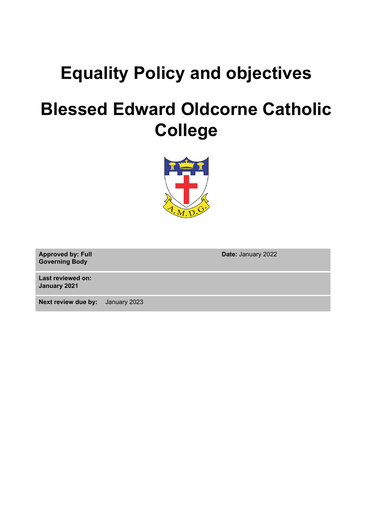# **Equality Policy and objectives**

# **Blessed Edward Oldcorne Catholic College**



**Approved by: Full Governing Body**

**Last reviewed on: January 2021**

**Next review due by:** January 2023

**Date:** January 2022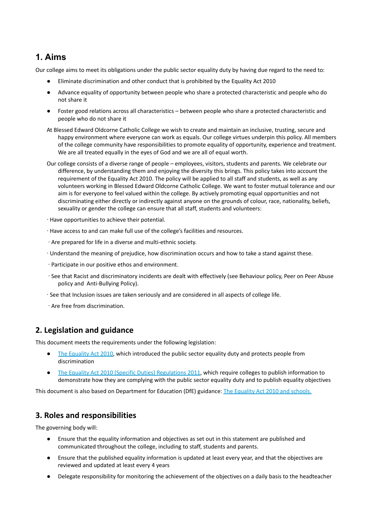# **1. Aims**

Our college aims to meet its obligations under the public sector equality duty by having due regard to the need to:

- Eliminate discrimination and other conduct that is prohibited by the Equality Act 2010
- Advance equality of opportunity between people who share a protected characteristic and people who do not share it
- Foster good relations across all characteristics between people who share a protected characteristic and people who do not share it
- At Blessed Edward Oldcorne Catholic College we wish to create and maintain an inclusive, trusting, secure and happy environment where everyone can work as equals. Our college virtues underpin this policy. All members of the college community have responsibilities to promote equality of opportunity, experience and treatment. We are all treated equally in the eyes of God and we are all of equal worth.
- Our college consists of a diverse range of people employees, visitors, students and parents. We celebrate our difference, by understanding them and enjoying the diversity this brings. This policy takes into account the requirement of the Equality Act 2010. The policy will be applied to all staff and students, as well as any volunteers working in Blessed Edward Oldcorne Catholic College. We want to foster mutual tolerance and our aim is for everyone to feel valued within the college. By actively promoting equal opportunities and not discriminating either directly or indirectly against anyone on the grounds of colour, race, nationality, beliefs, sexuality or gender the college can ensure that all staff, students and volunteers:
- ∙ Have opportunities to achieve their potential.
- ∙ Have access to and can make full use of the college's facilities and resources.
- ∙ Are prepared for life in a diverse and multi-ethnic society.
- ∙ Understand the meaning of prejudice, how discrimination occurs and how to take a stand against these.
- ∙ Participate in our positive ethos and environment.
- ∙ See that Racist and discriminatory incidents are dealt with effectively (see Behaviour policy, Peer on Peer Abuse policy and Anti-Bullying Policy).
- ∙ See that Inclusion issues are taken seriously and are considered in all aspects of college life.
- ∙ Are free from discrimination.

## **2. Legislation and guidance**

This document meets the requirements under the following legislation:

- The [Equality](http://www.legislation.gov.uk/ukpga/2010/15/contents) Act 2010, which introduced the public sector equality duty and protects people from discrimination
- The Equality Act 2010 (Specific Duties) [Regulations](http://www.legislation.gov.uk/uksi/2011/2260/contents/made) 2011, which require colleges to publish information to demonstrate how they are complying with the public sector equality duty and to publish equality objectives

This document is also based on Department for Education (DfE) guidance: The Equality Act 2010 and [schools.](https://www.gov.uk/government/uploads/system/uploads/attachment_data/file/315587/Equality_Act_Advice_Final.pdf)

## **3. Roles and responsibilities**

The governing body will:

- Ensure that the equality information and objectives as set out in this statement are published and communicated throughout the college, including to staff, students and parents.
- Ensure that the published equality information is updated at least every year, and that the objectives are reviewed and updated at least every 4 years
- Delegate responsibility for monitoring the achievement of the objectives on a daily basis to the headteacher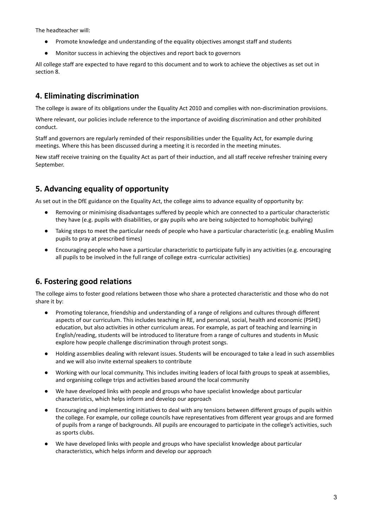The headteacher will:

- Promote knowledge and understanding of the equality objectives amongst staff and students
- Monitor success in achieving the objectives and report back to governors

All college staff are expected to have regard to this document and to work to achieve the objectives as set out in section 8.

## **4. Eliminating discrimination**

The college is aware of its obligations under the Equality Act 2010 and complies with non-discrimination provisions.

Where relevant, our policies include reference to the importance of avoiding discrimination and other prohibited conduct.

Staff and governors are regularly reminded of their responsibilities under the Equality Act, for example during meetings. Where this has been discussed during a meeting it is recorded in the meeting minutes.

New staff receive training on the Equality Act as part of their induction, and all staff receive refresher training every September.

# **5. Advancing equality of opportunity**

As set out in the DfE guidance on the Equality Act, the college aims to advance equality of opportunity by:

- Removing or minimising disadvantages suffered by people which are connected to a particular characteristic they have (e.g. pupils with disabilities, or gay pupils who are being subjected to homophobic bullying)
- Taking steps to meet the particular needs of people who have a particular characteristic (e.g. enabling Muslim pupils to pray at prescribed times)
- Encouraging people who have a particular characteristic to participate fully in any activities (e.g. encouraging all pupils to be involved in the full range of college extra -curricular activities)

## **6. Fostering good relations**

The college aims to foster good relations between those who share a protected characteristic and those who do not share it by:

- Promoting tolerance, friendship and understanding of a range of religions and cultures through different aspects of our curriculum. This includes teaching in RE, and personal, social, health and economic (PSHE) education, but also activities in other curriculum areas. For example, as part of teaching and learning in English/reading, students will be introduced to literature from a range of cultures and students in Music explore how people challenge discrimination through protest songs.
- Holding assemblies dealing with relevant issues. Students will be encouraged to take a lead in such assemblies and we will also invite external speakers to contribute
- Working with our local community. This includes inviting leaders of local faith groups to speak at assemblies, and organising college trips and activities based around the local community
- We have developed links with people and groups who have specialist knowledge about particular characteristics, which helps inform and develop our approach
- Encouraging and implementing initiatives to deal with any tensions between different groups of pupils within the college. For example, our college councils have representatives from different year groups and are formed of pupils from a range of backgrounds. All pupils are encouraged to participate in the college's activities, such as sports clubs.
- We have developed links with people and groups who have specialist knowledge about particular characteristics, which helps inform and develop our approach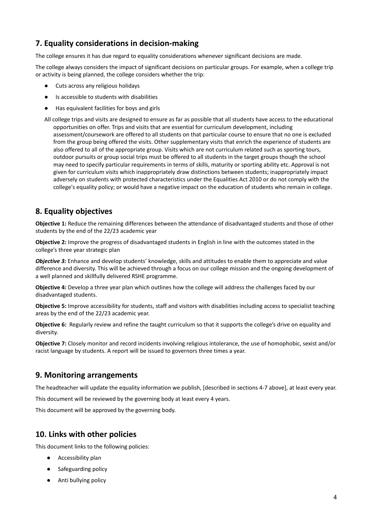# **7. Equality considerations in decision-making**

The college ensures it has due regard to equality considerations whenever significant decisions are made.

The college always considers the impact of significant decisions on particular groups. For example, when a college trip or activity is being planned, the college considers whether the trip:

- Cuts across any religious holidays
- Is accessible to students with disabilities
- Has equivalent facilities for boys and girls

All college trips and visits are designed to ensure as far as possible that all students have access to the educational opportunities on offer. Trips and visits that are essential for curriculum development, including assessment/coursework are offered to all students on that particular course to ensure that no one is excluded from the group being offered the visits. Other supplementary visits that enrich the experience of students are also offered to all of the appropriate group. Visits which are not curriculum related such as sporting tours, outdoor pursuits or group social trips must be offered to all students in the target groups though the school may need to specify particular requirements in terms of skills, maturity or sporting ability etc. Approval is not given for curriculum visits which inappropriately draw distinctions between students; inappropriately impact adversely on students with protected characteristics under the Equalities Act 2010 or do not comply with the college's equality policy; or would have a negative impact on the education of students who remain in college.

## **8. Equality objectives**

**Objective 1:** Reduce the remaining differences between the attendance of disadvantaged students and those of other students by the end of the 22/23 academic year

**Objective 2:** Improve the progress of disadvantaged students in English in line with the outcomes stated in the college's three year strategic plan

*Objective 3:* Enhance and develop students' knowledge, skills and attitudes to enable them to appreciate and value difference and diversity. This will be achieved through a focus on our college mission and the ongoing development of a well planned and skillfully delivered RSHE programme.

**Objective 4:** Develop a three year plan which outlines how the college will address the challenges faced by our disadvantaged students.

**Objective 5:** Improve accessibility for students, staff and visitors with disabilities including access to specialist teaching areas by the end of the 22/23 academic year.

**Objective 6:** Regularly review and refine the taught curriculum so that it supports the college's drive on equality and diversity.

**Objective 7:** Closely monitor and record incidents involving religious intolerance, the use of homophobic, sexist and/or racist language by students. A report will be issued to governors three times a year.

## **9. Monitoring arrangements**

The headteacher will update the equality information we publish, [described in sections 4-7 above], at least every year.

This document will be reviewed by the governing body at least every 4 years.

This document will be approved by the governing body.

## **10. Links with other policies**

This document links to the following policies:

- Accessibility plan
- Safeguarding policy
- Anti bullying policy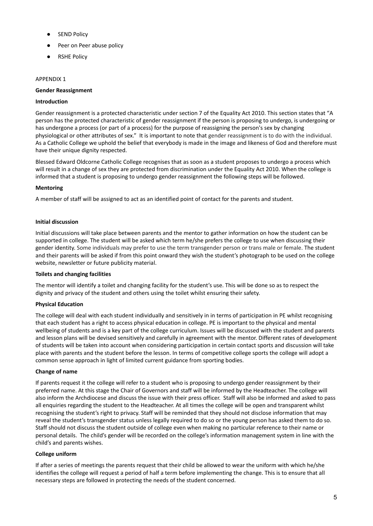- **SEND Policy**
- Peer on Peer abuse policy
- RSHE Policy

#### APPENDIX 1

#### **Gender Reassignment**

#### **Introduction**

Gender reassignment is a protected characteristic under section 7 of the Equality Act 2010. This section states that "A person has the protected characteristic of gender reassignment if the person is proposing to undergo, is undergoing or has undergone a process (or part of a process) for the purpose of reassigning the person's sex by changing physiological or other attributes of sex." It is important to note that gender reassignment is to do with the individual. As a Catholic College we uphold the belief that everybody is made in the image and likeness of God and therefore must have their unique dignity respected.

Blessed Edward Oldcorne Catholic College recognises that as soon as a student proposes to undergo a process which will result in a change of sex they are protected from discrimination under the Equality Act 2010. When the college is informed that a student is proposing to undergo gender reassignment the following steps will be followed.

#### **Mentoring**

A member of staff will be assigned to act as an identified point of contact for the parents and student.

#### **Initial discussion**

Initial discussions will take place between parents and the mentor to gather information on how the student can be supported in college. The student will be asked which term he/she prefers the college to use when discussing their gender identity. Some individuals may prefer to use the term transgender person or trans male or female. The student and their parents will be asked if from this point onward they wish the student's photograph to be used on the college website, newsletter or future publicity material.

#### **Toilets and changing facilities**

The mentor will identify a toilet and changing facility for the student's use. This will be done so as to respect the dignity and privacy of the student and others using the toilet whilst ensuring their safety.

#### **Physical Education**

The college will deal with each student individually and sensitively in in terms of participation in PE whilst recognising that each student has a right to access physical education in college. PE is important to the physical and mental wellbeing of students and is a key part of the college curriculum. Issues will be discussed with the student and parents and lesson plans will be devised sensitively and carefully in agreement with the mentor. Different rates of development of students will be taken into account when considering participation in certain contact sports and discussion will take place with parents and the student before the lesson. In terms of competitive college sports the college will adopt a common sense approach in light of limited current guidance from sporting bodies.

#### **Change of name**

If parents request it the college will refer to a student who is proposing to undergo gender reassignment by their preferred name. At this stage the Chair of Governors and staff will be informed by the Headteacher. The college will also inform the Archdiocese and discuss the issue with their press officer. Staff will also be informed and asked to pass all enquiries regarding the student to the Headteacher. At all times the college will be open and transparent whilst recognising the student's right to privacy. Staff will be reminded that they should not disclose information that may reveal the student's transgender status unless legally required to do so or the young person has asked them to do so. Staff should not discuss the student outside of college even when making no particular reference to their name or personal details. The child's gender will be recorded on the college's information management system in line with the child's and parents wishes.

#### **College uniform**

If after a series of meetings the parents request that their child be allowed to wear the uniform with which he/she identifies the college will request a period of half a term before implementing the change. This is to ensure that all necessary steps are followed in protecting the needs of the student concerned.